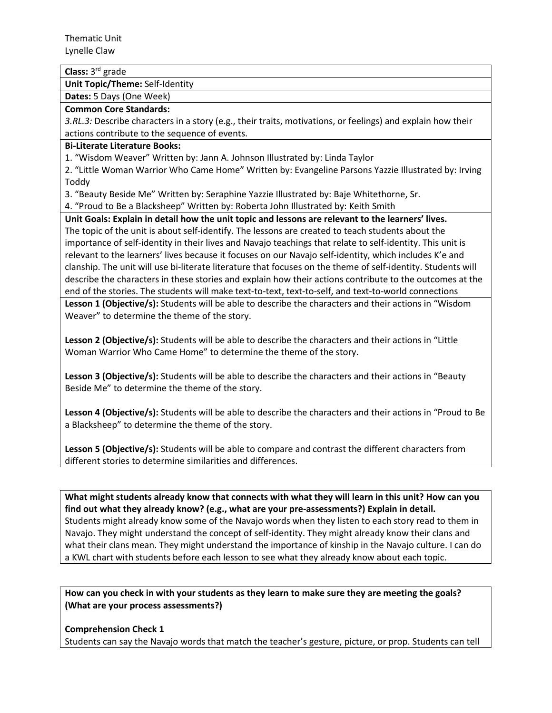Thematic Unit Lynelle Claw

# **Class:** 3rd grade

**Unit Topic/Theme:** Self-Identity

**Dates:** 5 Days (One Week)

#### **Common Core Standards:**

*3.RL.3:* Describe characters in a story (e.g., their traits, motivations, or feelings) and explain how their actions contribute to the sequence of events.

## **Bi-Literate Literature Books:**

1. "Wisdom Weaver" Written by: Jann A. Johnson Illustrated by: Linda Taylor

2. "Little Woman Warrior Who Came Home" Written by: Evangeline Parsons Yazzie Illustrated by: Irving Toddy

3. "Beauty Beside Me" Written by: Seraphine Yazzie Illustrated by: Baje Whitethorne, Sr.

4. "Proud to Be a Blacksheep" Written by: Roberta John Illustrated by: Keith Smith

**Unit Goals: Explain in detail how the unit topic and lessons are relevant to the learners' lives.** The topic of the unit is about self-identify. The lessons are created to teach students about the importance of self-identity in their lives and Navajo teachings that relate to self-identity. This unit is relevant to the learners' lives because it focuses on our Navajo self-identity, which includes K'e and clanship. The unit will use bi-literate literature that focuses on the theme of self-identity. Students will describe the characters in these stories and explain how their actions contribute to the outcomes at the end of the stories. The students will make text-to-text, text-to-self, and text-to-world connections

**Lesson 1 (Objective/s):** Students will be able to describe the characters and their actions in "Wisdom Weaver" to determine the theme of the story.

**Lesson 2 (Objective/s):** Students will be able to describe the characters and their actions in "Little Woman Warrior Who Came Home" to determine the theme of the story.

**Lesson 3 (Objective/s):** Students will be able to describe the characters and their actions in "Beauty Beside Me" to determine the theme of the story.

**Lesson 4 (Objective/s):** Students will be able to describe the characters and their actions in "Proud to Be a Blacksheep" to determine the theme of the story.

**Lesson 5 (Objective/s):** Students will be able to compare and contrast the different characters from different stories to determine similarities and differences.

**What might students already know that connects with what they will learn in this unit? How can you find out what they already know? (e.g., what are your pre-assessments?) Explain in detail.**  Students might already know some of the Navajo words when they listen to each story read to them in Navajo. They might understand the concept of self-identity. They might already know their clans and what their clans mean. They might understand the importance of kinship in the Navajo culture. I can do a KWL chart with students before each lesson to see what they already know about each topic.

**How can you check in with your students as they learn to make sure they are meeting the goals? (What are your process assessments?)**

**Comprehension Check 1**

Students can say the Navajo words that match the teacher's gesture, picture, or prop. Students can tell